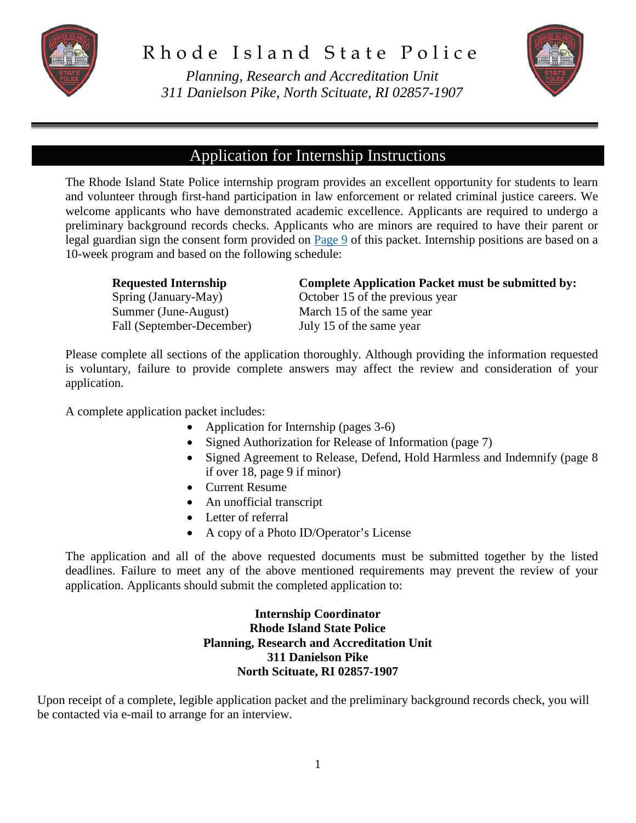

*Planning, Research and Accreditation Unit 311 Danielson Pike, North Scituate, RI 02857-1907*



### Application for Internship Instructions

The Rhode Island State Police internship program provides an excellent opportunity for students to learn and volunteer through first-hand participation in law enforcement or related criminal justice careers. We welcome applicants who have demonstrated academic excellence. Applicants are required to undergo a preliminary background records checks. Applicants who are minors are required to have their parent or legal guardian sign the consent form provided on [Page 9](#page-8-0) of this packet. Internship positions are based on a 10-week program and based on the following schedule:

| <b>Requested Internship</b> | <b>Complete Application Packet must be submitted by:</b> |
|-----------------------------|----------------------------------------------------------|
| Spring (January-May)        | October 15 of the previous year                          |
| Summer (June-August)        | March 15 of the same year                                |
| Fall (September-December)   | July 15 of the same year                                 |

Please complete all sections of the application thoroughly. Although providing the information requested is voluntary, failure to provide complete answers may affect the review and consideration of your application.

A complete application packet includes:

- Application for Internship (pages 3-6)
- Signed Authorization for Release of Information (page 7)
- Signed Agreement to Release, Defend, Hold Harmless and Indemnify (page 8 if over 18, page 9 if minor)
- Current Resume
- An unofficial transcript
- Letter of referral
- A copy of a Photo ID/Operator's License

The application and all of the above requested documents must be submitted together by the listed deadlines. Failure to meet any of the above mentioned requirements may prevent the review of your application. Applicants should submit the completed application to:

#### **Internship Coordinator Rhode Island State Police Planning, Research and Accreditation Unit 311 Danielson Pike North Scituate, RI 02857-1907**

Upon receipt of a complete, legible application packet and the preliminary background records check, you will be contacted via e-mail to arrange for an interview.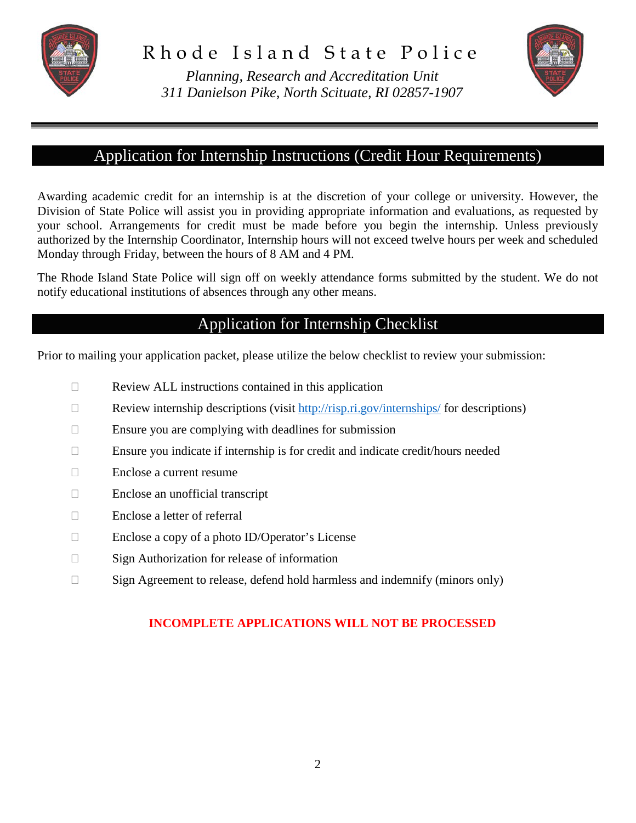

*Planning, Research and Accreditation Unit 311 Danielson Pike, North Scituate, RI 02857-1907*



## Application for Internship Instructions (Credit Hour Requirements)

Awarding academic credit for an internship is at the discretion of your college or university. However, the Division of State Police will assist you in providing appropriate information and evaluations, as requested by your school. Arrangements for credit must be made before you begin the internship. Unless previously authorized by the Internship Coordinator, Internship hours will not exceed twelve hours per week and scheduled Monday through Friday, between the hours of 8 AM and 4 PM.

The Rhode Island State Police will sign off on weekly attendance forms submitted by the student. We do not notify educational institutions of absences through any other means.

## Application for Internship Checklist

Prior to mailing your application packet, please utilize the below checklist to review your submission:

- $\Box$  Review ALL instructions contained in this application
- Review internship descriptions (visit  $\frac{http://risp.ri.gov/internships/}{http://risp.ri.gov/internships/}$  for descriptions)
- $\Box$  Ensure you are complying with deadlines for submission
- $\Box$  Ensure you indicate if internship is for credit and indicate credit/hours needed
- Enclose a current resume
- $\Box$  Enclose an unofficial transcript
- □ Enclose a letter of referral
- Enclose a copy of a photo ID/Operator's License
- $\Box$  Sign Authorization for release of information
- □ Sign Agreement to release, defend hold harmless and indemnify (minors only)

#### **INCOMPLETE APPLICATIONS WILL NOT BE PROCESSED**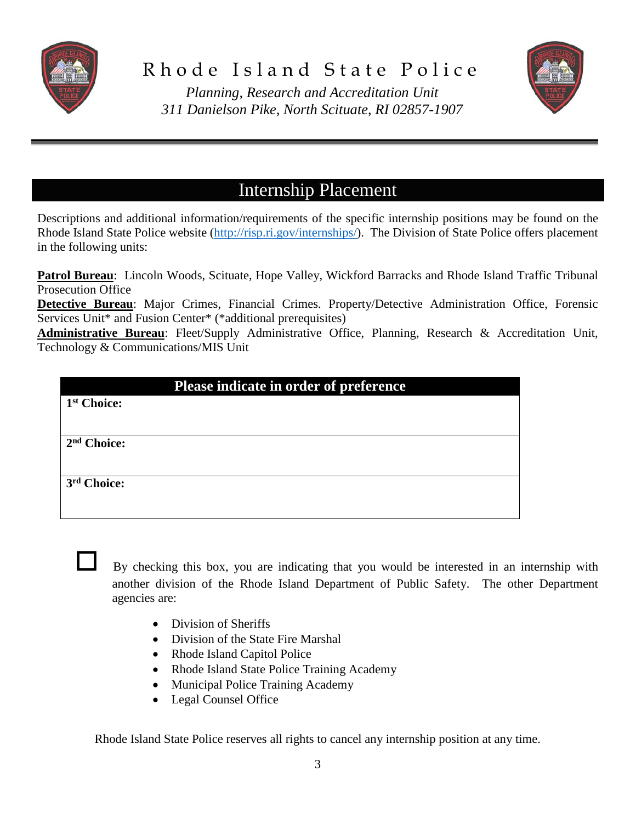



*Planning, Research and Accreditation Unit 311 Danielson Pike, North Scituate, RI 02857-1907*

# Internship Placement

Descriptions and additional information/requirements of the specific internship positions may be found on the Rhode Island State Police website [\(http://risp.ri.gov/internships/\)](http://risp.ri.gov/internships/). The Division of State Police offers placement in the following units:

**Patrol Bureau**: Lincoln Woods, Scituate, Hope Valley, Wickford Barracks and Rhode Island Traffic Tribunal Prosecution Office

**Detective Bureau**: Major Crimes, Financial Crimes. Property/Detective Administration Office, Forensic Services Unit\* and Fusion Center\* (\*additional prerequisites)

**Administrative Bureau**: Fleet/Supply Administrative Office, Planning, Research & Accreditation Unit, Technology & Communications/MIS Unit

|                         | Please indicate in order of preference |
|-------------------------|----------------------------------------|
| 1 <sup>st</sup> Choice: |                                        |
|                         |                                        |
| 2 <sup>nd</sup> Choice: |                                        |
|                         |                                        |
| 3 <sup>rd</sup> Choice: |                                        |
|                         |                                        |

 By checking this box, you are indicating that you would be interested in an internship with another division of the Rhode Island Department of Public Safety. The other Department agencies are:

- Division of Sheriffs
- Division of the State Fire Marshal
- Rhode Island Capitol Police
- Rhode Island State Police Training Academy
- Municipal Police Training Academy
- Legal Counsel Office

Rhode Island State Police reserves all rights to cancel any internship position at any time.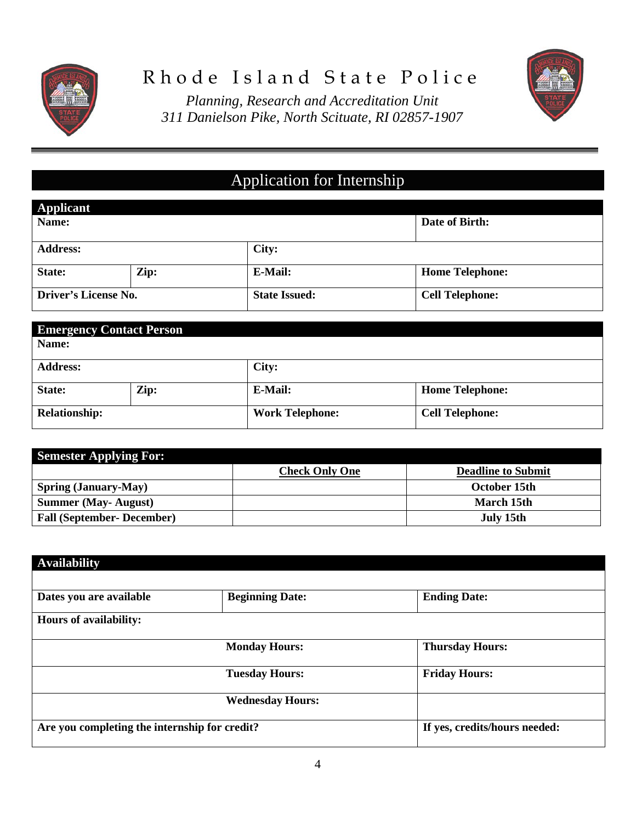



*Planning, Research and Accreditation Unit 311 Danielson Pike, North Scituate, RI 02857-1907*

# Application for Internship

| Applicant            |      |                      |                        |
|----------------------|------|----------------------|------------------------|
| Name:                |      |                      | Date of Birth:         |
|                      |      |                      |                        |
| <b>Address:</b>      |      | City:                |                        |
| State:               | Zip: | E-Mail:              | <b>Home Telephone:</b> |
| Driver's License No. |      | <b>State Issued:</b> | <b>Cell Telephone:</b> |

|                      | <b>Emergency Contact Person</b> |                        |                        |
|----------------------|---------------------------------|------------------------|------------------------|
| Name:                |                                 |                        |                        |
| <b>Address:</b>      |                                 | City:                  |                        |
| State:               | Zip:                            | E-Mail:                | <b>Home Telephone:</b> |
| <b>Relationship:</b> |                                 | <b>Work Telephone:</b> | <b>Cell Telephone:</b> |

| <b>Semester Applying For:</b>     |                       |                           |
|-----------------------------------|-----------------------|---------------------------|
|                                   | <b>Check Only One</b> | <b>Deadline to Submit</b> |
| <b>Spring (January-May)</b>       |                       | October 15th              |
| <b>Summer (May-August)</b>        |                       | March 15th                |
| <b>Fall (September- December)</b> |                       | July 15th                 |

| <b>Availability</b>                           |                         |                               |
|-----------------------------------------------|-------------------------|-------------------------------|
| Dates you are available                       | <b>Beginning Date:</b>  | <b>Ending Date:</b>           |
| Hours of availability:                        |                         |                               |
|                                               | <b>Monday Hours:</b>    | <b>Thursday Hours:</b>        |
|                                               | <b>Tuesday Hours:</b>   | <b>Friday Hours:</b>          |
|                                               | <b>Wednesday Hours:</b> |                               |
| Are you completing the internship for credit? |                         | If yes, credits/hours needed: |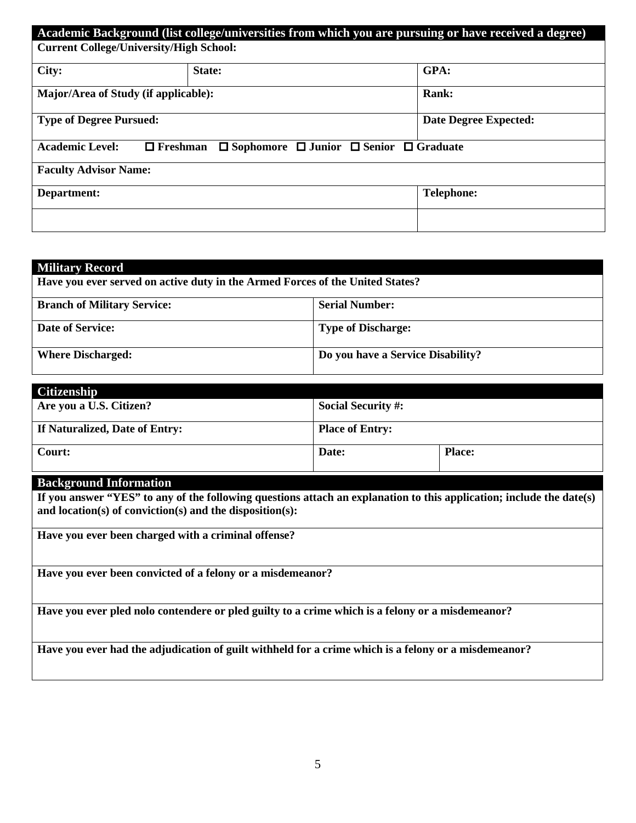|                                                | Academic Background (list college/universities from which you are pursuing or have received a degree) |                              |
|------------------------------------------------|-------------------------------------------------------------------------------------------------------|------------------------------|
| <b>Current College/University/High School:</b> |                                                                                                       |                              |
|                                                |                                                                                                       |                              |
| City:                                          | <b>State:</b>                                                                                         | GPA:                         |
| Major/Area of Study (if applicable):           |                                                                                                       | <b>Rank:</b>                 |
| <b>Type of Degree Pursued:</b>                 |                                                                                                       | <b>Date Degree Expected:</b> |
| <b>Academic Level:</b><br>$\Box$ Freshman      | $\Box$ Sophomore $\Box$ Junior $\Box$ Senior $\Box$ Graduate                                          |                              |
| <b>Faculty Advisor Name:</b>                   |                                                                                                       |                              |
| Department:                                    |                                                                                                       | <b>Telephone:</b>            |
|                                                |                                                                                                       |                              |

| <b>Military Record</b>                                                        |                                   |
|-------------------------------------------------------------------------------|-----------------------------------|
| Have you ever served on active duty in the Armed Forces of the United States? |                                   |
| <b>Branch of Military Service:</b>                                            | <b>Serial Number:</b>             |
| <b>Date of Service:</b>                                                       | <b>Type of Discharge:</b>         |
| <b>Where Discharged:</b>                                                      | Do you have a Service Disability? |

| <b>Citizenship</b>             |                           |               |
|--------------------------------|---------------------------|---------------|
| Are you a U.S. Citizen?        | <b>Social Security #:</b> |               |
| If Naturalized, Date of Entry: | <b>Place of Entry:</b>    |               |
| Court:                         | Date:                     | <b>Place:</b> |

#### **Background Information**

**If you answer "YES" to any of the following questions attach an explanation to this application; include the date(s) and location(s) of conviction(s) and the disposition(s):**

**Have you ever been charged with a criminal offense?**

**Have you ever been convicted of a felony or a misdemeanor?**

**Have you ever pled nolo contendere or pled guilty to a crime which is a felony or a misdemeanor?**

**Have you ever had the adjudication of guilt withheld for a crime which is a felony or a misdemeanor?**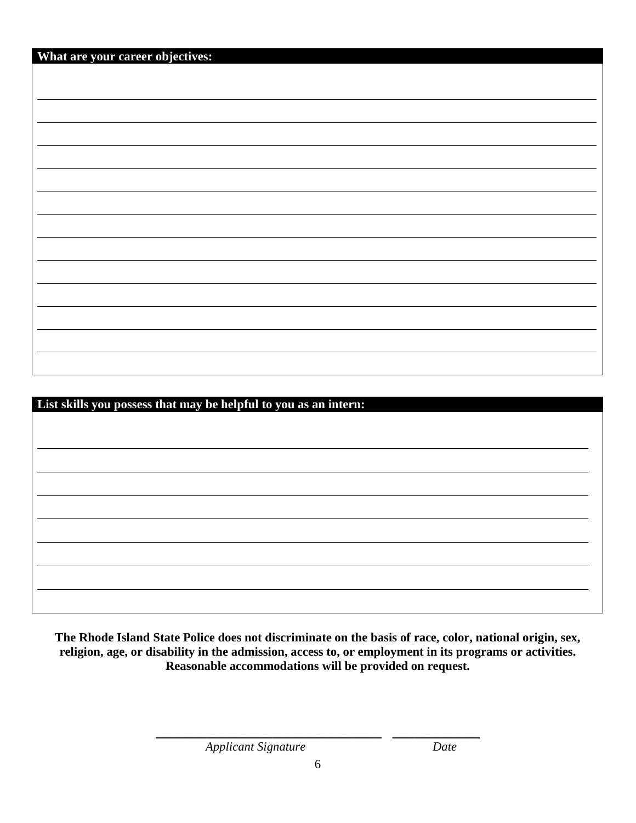| What are your career objectives: |  |
|----------------------------------|--|
|                                  |  |
|                                  |  |
|                                  |  |
|                                  |  |
|                                  |  |
|                                  |  |
|                                  |  |
|                                  |  |
|                                  |  |
|                                  |  |
|                                  |  |
|                                  |  |
|                                  |  |
|                                  |  |
|                                  |  |
|                                  |  |
|                                  |  |
|                                  |  |
|                                  |  |

| List skills you possess that may be helpful to you as an intern: |  |
|------------------------------------------------------------------|--|
|                                                                  |  |
|                                                                  |  |
|                                                                  |  |
|                                                                  |  |
|                                                                  |  |
|                                                                  |  |
|                                                                  |  |
|                                                                  |  |
|                                                                  |  |
|                                                                  |  |
|                                                                  |  |
|                                                                  |  |
|                                                                  |  |

**The Rhode Island State Police does not discriminate on the basis of race, color, national origin, sex, religion, age, or disability in the admission, access to, or employment in its programs or activities. Reasonable accommodations will be provided on request.**

**\_\_\_\_\_\_\_\_\_\_\_\_\_\_\_\_\_\_\_\_\_\_\_\_\_\_\_\_\_\_\_ \_\_\_\_\_\_\_\_\_\_\_\_** *Applicant Signature**Date*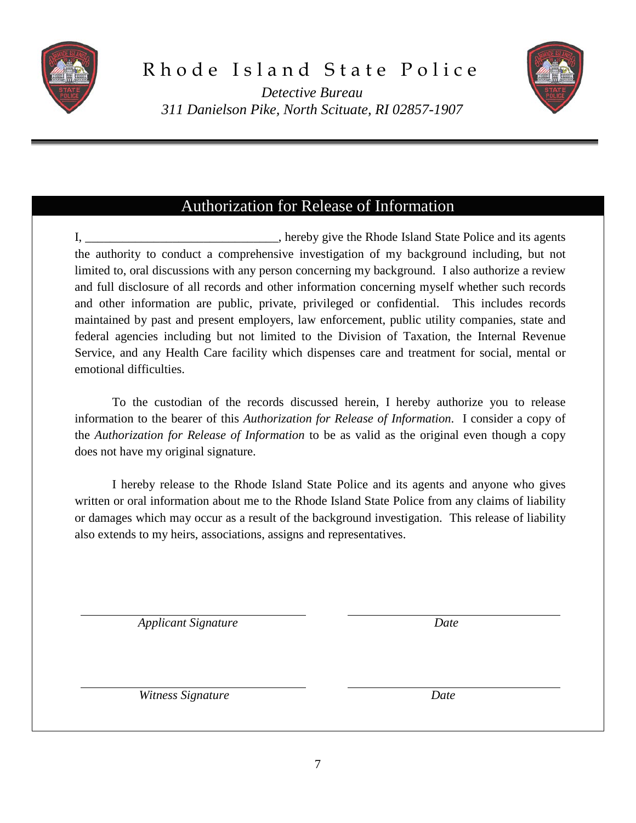



*Detective Bureau 311 Danielson Pike, North Scituate, RI 02857-1907*

#### Authorization for Release of Information

I, \_\_\_\_\_\_\_\_\_\_\_\_\_\_\_\_\_\_\_\_\_\_\_\_\_\_\_\_\_, hereby give the Rhode Island State Police and its agents the authority to conduct a comprehensive investigation of my background including, but not limited to, oral discussions with any person concerning my background. I also authorize a review and full disclosure of all records and other information concerning myself whether such records and other information are public, private, privileged or confidential. This includes records maintained by past and present employers, law enforcement, public utility companies, state and federal agencies including but not limited to the Division of Taxation, the Internal Revenue Service, and any Health Care facility which dispenses care and treatment for social, mental or emotional difficulties.

To the custodian of the records discussed herein, I hereby authorize you to release information to the bearer of this *Authorization for Release of Information*. I consider a copy of the *Authorization for Release of Information* to be as valid as the original even though a copy does not have my original signature.

I hereby release to the Rhode Island State Police and its agents and anyone who gives written or oral information about me to the Rhode Island State Police from any claims of liability or damages which may occur as a result of the background investigation. This release of liability also extends to my heirs, associations, assigns and representatives.

 *Applicant Signature Date*

 *Witness Signature Date*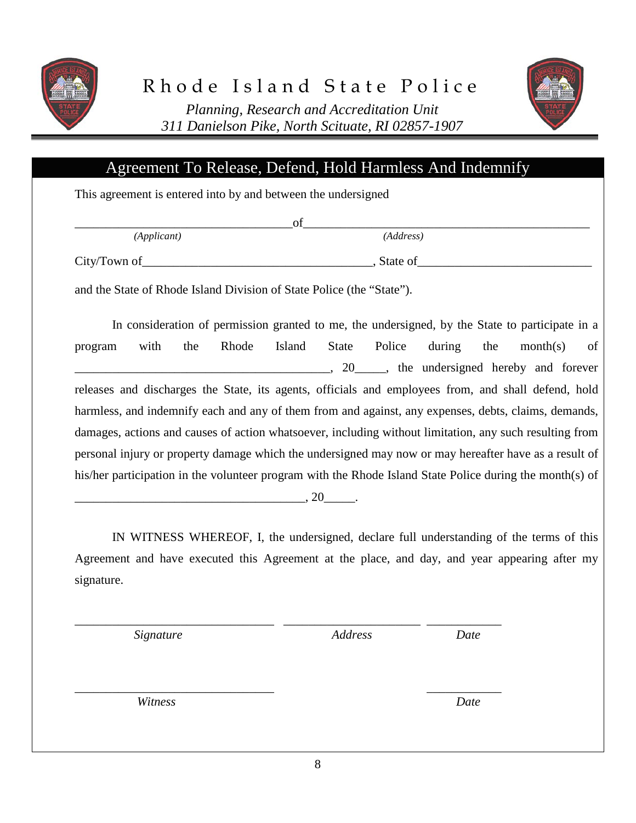



*Planning, Research and Accreditation Unit 311 Danielson Pike, North Scituate, RI 02857-1907*

#### Agreement To Release, Defend, Hold Harmless And Indemnify

This agreement is entered into by and between the undersigned

*(Applicant) (Address)*

 $_{\rm{of}}$   $_{\rm{on}}$  . The contract of  $_{\rm{on}}$  and  $_{\rm{off}}$  . The contract of  $_{\rm{on}}$  and  $_{\rm{on}}$  and  $_{\rm{on}}$  and  $_{\rm{on}}$  and  $_{\rm{on}}$  and  $_{\rm{on}}$  and  $_{\rm{on}}$  and  $_{\rm{on}}$  and  $_{\rm{on}}$  and  $_{\rm{on}}$  and  $_{\rm{on}}$  and  $_{$ 

City/Town of the contract of the contract of the contract of  $\overline{C}$ . State of

and the State of Rhode Island Division of State Police (the "State").

In consideration of permission granted to me, the undersigned, by the State to participate in a program with the Rhode Island State Police during the month(s) of . 20 contract the undersigned hereby and forever releases and discharges the State, its agents, officials and employees from, and shall defend, hold harmless, and indemnify each and any of them from and against, any expenses, debts, claims, demands, damages, actions and causes of action whatsoever, including without limitation, any such resulting from personal injury or property damage which the undersigned may now or may hereafter have as a result of his/her participation in the volunteer program with the Rhode Island State Police during the month(s) of

\_\_\_\_\_\_\_\_\_\_\_\_\_\_\_\_\_\_\_\_\_\_\_\_\_\_\_\_\_\_\_\_\_\_\_\_\_, 20\_\_\_\_\_.

IN WITNESS WHEREOF, I, the undersigned, declare full understanding of the terms of this Agreement and have executed this Agreement at the place, and day, and year appearing after my signature.

 *Signature Address Date*

\_\_\_\_\_\_\_\_\_\_\_\_\_\_\_\_\_\_\_\_\_\_\_\_\_\_\_\_\_\_\_\_ \_\_\_\_\_\_\_\_\_\_\_\_\_\_\_\_\_\_\_\_\_\_ \_\_\_\_\_\_\_\_\_\_\_\_

 *Witness Date*

8

\_\_\_\_\_\_\_\_\_\_\_\_\_\_\_\_\_\_\_\_\_\_\_\_\_\_\_\_\_\_\_\_ \_\_\_\_\_\_\_\_\_\_\_\_